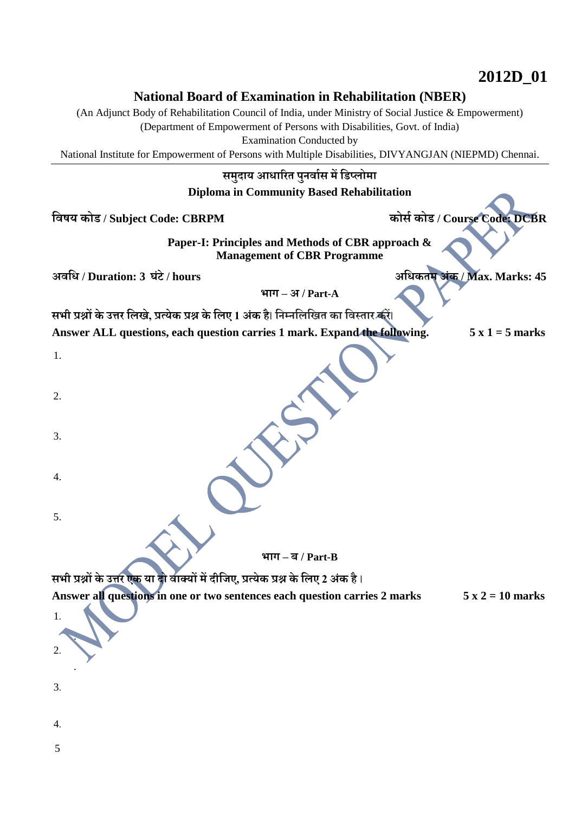# **2012D\_01**

## **National Board of Examination in Rehabilitation (NBER)**

(An Adjunct Body of Rehabilitation Council of India, under Ministry of Social Justice & Empowerment)

(Department of Empowerment of Persons with Disabilities, Govt. of India)

Examination Conducted by

National Institute for Empowerment of Persons with Multiple Disabilities, DIVYANGJAN (NIEPMD) Chennai.

### **समुदाय आधारित पुनर्ाास मेंडिप्लोमा**

#### **Diploma in Community Based Rehabilitation**

**डर्षय कोि / Subject Code: CBRPM कोसा कोि / Course Code: DCBR**

**Paper-I: Principles and Methods of CBR approach & Management of CBR Programme**

**अर्डध / Duration: 3 घंटे/ hours अडधकतम अंक / Max. Marks: 45**

**भाग – अ / Part-A**

**सभी प्रश्नों के उत्ति डलखे, प्रत्येक प्रश्न केडलए 1 अंक है**। **डनम्नडलडखत का डर्स्ताि किें**। **Answer ALL questions, each question carries 1 mark. Expand the following. 5 x 1 = 5 marks**

**भाग – ब / Part-B**

**सभी प्रश्नों के उत्ति एक या दो र्ाक्यों में दीडिए, प्रत्येक प्रश्न केडलए 2 अंक है**।

**Answer all questions in one or two sentences each question carries 2 marks 5 x 2 = 10 marks**

5

4.

1.

2.

3.

4.

5.

1.

2.

3.

.

.